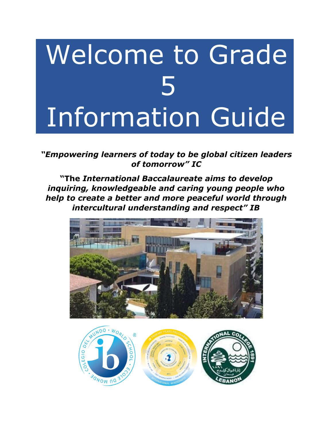# Welcome to Grade 5 Information Guide

*"Empowering learners of today to be global citizen leaders of tomorrow" IC*

**"The** *International Baccalaureate aims to develop inquiring, knowledgeable and caring young people who help to create a better and more peaceful world through intercultural understanding and respect" IB*



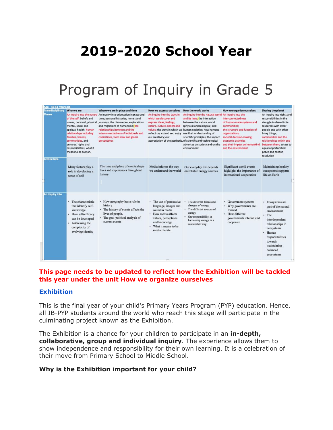# **2019-2020 School Year**

### Program of Inquiry in Grade 5

| Age: 10-11 years old     |                                                                                                                                                                                                                           |                                                                                                                                                                                                                                                                                                                                                         |                                                                                                                                                                                                    |                                                                                                                                                                                                                                                                                                                                                                          |                                                                                                                                                                                                                                |                                                                                                                                                                                                                                                                                                |
|--------------------------|---------------------------------------------------------------------------------------------------------------------------------------------------------------------------------------------------------------------------|---------------------------------------------------------------------------------------------------------------------------------------------------------------------------------------------------------------------------------------------------------------------------------------------------------------------------------------------------------|----------------------------------------------------------------------------------------------------------------------------------------------------------------------------------------------------|--------------------------------------------------------------------------------------------------------------------------------------------------------------------------------------------------------------------------------------------------------------------------------------------------------------------------------------------------------------------------|--------------------------------------------------------------------------------------------------------------------------------------------------------------------------------------------------------------------------------|------------------------------------------------------------------------------------------------------------------------------------------------------------------------------------------------------------------------------------------------------------------------------------------------|
| <b>Transdisciplinary</b> | Who we are                                                                                                                                                                                                                | Where we are in place and time                                                                                                                                                                                                                                                                                                                          | How we express ourselves                                                                                                                                                                           | How the world works                                                                                                                                                                                                                                                                                                                                                      | How we organize ourselves                                                                                                                                                                                                      | Sharing the planet                                                                                                                                                                                                                                                                             |
| <b>Theme</b>             | of the self: beliefs and<br>mental, social and<br>spiritual health; human<br>relationships including<br>families, friends,<br>communities, and<br>cultures; rights and<br>responsibilities; what it<br>means to be human. | An inquiry into the nature An inquiry into orientation in place and<br>time; personal histories; homes and<br>values; personal, physical, journeys; the discoveries, explorations<br>and migrations of humankind; the<br>relationships between and the<br>interconnectedness of individuals and<br>civilizations, from local and global<br>perspectives | An inquiry into the ways in<br>which we discover and<br>express ideas, feelings,<br>nature, culture, beliefs and<br>reflect on, extend and enjoy use their understanding of<br>our creativity; our | An inquiry into the natural world An inquiry into the<br>and its laws: the interaction<br>between the natural world<br>(physical and biological) and<br>values; the ways in which we human societies; how humans<br>scientific principles; the impact<br>appreciation of the aesthetic, of scientific and technological<br>advances on society and on the<br>environment | interconnectedness<br>of human-made systems and<br>communities;<br>the structure and function of<br>organizations:<br>societal decision-making:<br>economic activities<br>and their impact on humankind<br>and the environment | An inquiry into rights and<br>responsibilities in the<br>struggle to share finite<br>resources with other<br>people and with other<br>living things:<br>communities and the<br>relationships within and<br>between them; access to<br>equal opportunities;<br>peace and conflict<br>resolution |
| <b>Central Idea</b>      | Many factors play a<br>role in developing a<br>sense of self                                                                                                                                                              | The time and place of events shape<br>lives and experiences throughout<br>history                                                                                                                                                                                                                                                                       | Media informs the way<br>we understand the world                                                                                                                                                   | Our everyday life depends<br>on reliable energy sources.                                                                                                                                                                                                                                                                                                                 | Significant world events<br>highlight the importance of<br>international cooperation                                                                                                                                           | Maintaining healthy<br>ecosystems supports<br>life on Earth                                                                                                                                                                                                                                    |
| An inquiry into          | • The characteristic<br>that identify self-<br>knowledge<br>· How self-efficacy<br>can be developed<br>• Addressing the<br>complexity of<br>evolving identity                                                             | • How geography has a role in<br>history<br>• The history of events affects the<br>lives of people.<br>• The geo-political analysis of<br>current events                                                                                                                                                                                                | • The use of persuasive<br>language, images and<br>sound in media<br>· How media affects<br>values, perceptions<br>and knowledge<br>• What it means to be<br>media literate                        | The different forms and<br>changes of energy<br>• The different sources of<br>energy<br>• Our responsibility in<br>harnessing energy in a<br>sustainable way                                                                                                                                                                                                             | • Government systems<br>• Why governments are<br>formed<br>How different<br>٠<br>governments interact and<br>cooperate                                                                                                         | • Ecosystems are<br>part of the natural<br>environment<br>$+$ The<br>interdependent<br>relationships in<br>ecosystems<br>· Human<br>responsibilities<br>towards<br>maintaining<br>balanced<br>ecosystems                                                                                       |

### **This page needs to be updated to reflect how the Exhibition will be tackled this year under the unit How we organize ourselves**

#### **Exhibition**

This is the final year of your child's Primary Years Program (PYP) education. Hence, all IB-PYP students around the world who reach this stage will participate in the culminating project known as the Exhibition.

The Exhibition is a chance for your children to participate in an **in-depth, collaborative, group and individual inquiry**. The experience allows them to show independence and responsibility for their own learning. It is a celebration of their move from Primary School to Middle School.

#### **Why is the Exhibition important for your child?**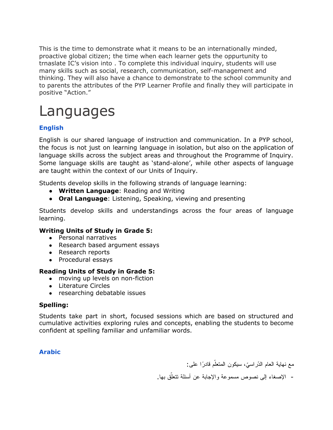This is the time to demonstrate what it means to be an internationally minded, proactive global citizen; the time when each learner gets the oppurtunity to trnaslate IC's vision into . To complete this individual inquiry, students will use many skills such as social, research, communication, self-management and thinking. They will also have a chance to demonstrate to the school community and to parents the attributes of the PYP Learner Profile and finally they will participate in positive "Action."

# Languages

### **English**

English is our shared language of instruction and communication. In a PYP school, the focus is not just on learning language in isolation, but also on the application of language skills across the subject areas and throughout the Programme of Inquiry. Some language skills are taught as 'stand-alone', while other aspects of language are taught within the context of our Units of Inquiry.

Students develop skills in the following strands of language learning:

- **Written Language**: Reading and Writing
- **Oral Language**: Listening, Speaking, viewing and presenting

Students develop skills and understandings across the four areas of language learning.

### **Writing Units of Study in Grade 5:**

- Personal narratives
- Research based argument essays
- Research reports
- Procedural essays

### **Reading Units of Study in Grade 5:**

- moving up levels on non-fiction
- Literature Circles
- researching debatable issues

### **Spelling:**

Students take part in short, focused sessions which are based on structured and cumulative activities exploring rules and concepts, enabling the students to become confident at spelling familiar and unfamiliar words.

### **Arabic**

مع نهاية العام الدّراسيّ، سيكون المتعلّم قادرًا على:

- الإصغاء إلى نصوص مسموعة والإجابة عن أسئلة نتعلَّق بها.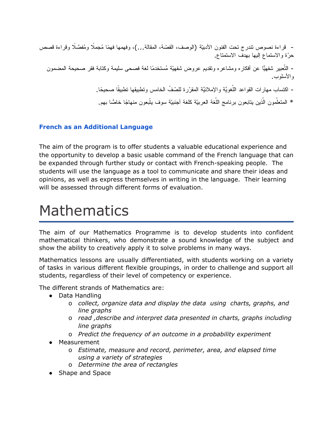- قراءة نصوص تندرج تحت الفنون الأدبيّة (الوصف، القصّة، المقالة...)، وفهمها فهمًا مُجملًا ومُفصَّلًا وقراءة قصص ّحرة والاستماع إلیها بهدف الاستمتاع.

- التّعبیر شفهیًّا عن أفكاره ومشاعره وتقدیم عروض شفهیّة مُستخدمًا لغة فصحى سلیمة وكتابة فقر صحیحة المضمون والأسلوب.

- اكتساب مهارات القواعد اللُّغويَّة والإملائيَّة المقرّرة للصّفّ الخامس وتطبيقها تطبيقًا صحيحًا.

\* المتعلّمون الّذين يتابعون برنامج اللّغة العربيّة كلغة أجنبيّة سوف يتّبعون منهاجًا خاصًّا بهم.

### **French as an Additional Language**

The aim of the program is to offer students a valuable educational experience and the opportunity to develop a basic usable command of the French language that can be expanded through further study or contact with French-speaking people. The students will use the language as a tool to communicate and share their ideas and opinions, as well as express themselves in writing in the language. Their learning will be assessed through different forms of evaluation.

### Mathematics

The aim of our Mathematics Programme is to develop students into confident mathematical thinkers, who demonstrate a sound knowledge of the subject and show the ability to creatively apply it to solve problems in many ways.

Mathematics lessons are usually differentiated, with students working on a variety of tasks in various different flexible groupings, in order to challenge and support all students, regardless of their level of competency or experience.

The different strands of Mathematics are:

- Data Handling
	- o *collect, organize data and display the data using charts, graphs, and line graphs*
	- o *read ,describe and interpret data presented in charts, graphs including line graphs*
	- o *Predict the frequency of an outcome in a probability experiment*
- Measurement
	- o *Estimate, measure and record, perimeter, area, and elapsed time using a variety of strategies*
	- o *Determine the area of rectangles*
- Shape and Space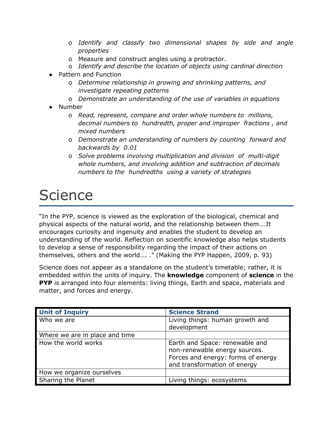- o *Identify and classify two dimensional shapes by side and angle properties*
- o Measure and construct angles using a protractor.
- o *Identify and describe the location of objects using cardinal direction*
- **Pattern and Function** 
	- o *Determine relationship in growing and shrinking patterns, and investigate repeating patterns*
	- o *Demonstrate an understanding of the use of variables in equations*
- Number
	- o *Read, represent, compare and order whole numbers to millions, decimal numbers to hundredth, proper and improper fractions , and mixed numbers*
	- o *Demonstrate an understanding of numbers by counting forward and backwards by 0.01*
	- o *Solve problems involving multiplication and division of multi-digit whole numbers, and involving addition and subtraction of decimals numbers to the hundredths using a variety of strategies*

# **Science**

"In the PYP, science is viewed as the exploration of the biological, chemical and physical aspects of the natural world, and the relationship between them….It encourages curiosity and ingenuity and enables the student to develop an understanding of the world. Reflection on scientific knowledge also helps students to develop a sense of responsibility regarding the impact of their actions on themselves, others and the world…. ." (Making the PYP Happen, 2009, p. 93)

Science does not appear as a standalone on the student's timetable; rather, it is embedded within the units of inquiry. The **knowledge** component of **science** in the **PYP** is arranged into four elements: living things, Earth and space, materials and matter, and forces and energy.

| <b>Unit of Inquiry</b>         | <b>Science Strand</b>                                                                                                                 |
|--------------------------------|---------------------------------------------------------------------------------------------------------------------------------------|
| Who we are                     | Living things: human growth and<br>development                                                                                        |
| Where we are in place and time |                                                                                                                                       |
| How the world works            | Earth and Space: renewable and<br>non-renewable energy sources.<br>Forces and energy: forms of energy<br>and transformation of energy |
| How we organize ourselves      |                                                                                                                                       |
| Sharing the Planet             | Living things: ecosystems                                                                                                             |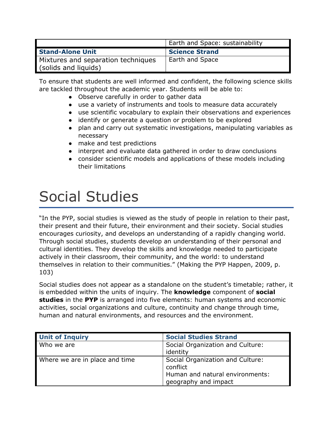|                                    | Earth and Space: sustainability |
|------------------------------------|---------------------------------|
| <b>Stand-Alone Unit</b>            | <b>Science Strand</b>           |
| Mixtures and separation techniques | Earth and Space                 |
| (solids and liquids)               |                                 |

To ensure that students are well informed and confident, the following science skills are tackled throughout the academic year. Students will be able to:

- Observe carefully in order to gather data
- use a variety of instruments and tools to measure data accurately
- use scientific vocabulary to explain their observations and experiences
- identify or generate a question or problem to be explored
- plan and carry out systematic investigations, manipulating variables as necessary
- make and test predictions
- interpret and evaluate data gathered in order to draw conclusions
- consider scientific models and applications of these models including their limitations

# Social Studies

"In the PYP, social studies is viewed as the study of people in relation to their past, their present and their future, their environment and their society. Social studies encourages curiosity, and develops an understanding of a rapidly changing world. Through social studies, students develop an understanding of their personal and cultural identities. They develop the skills and knowledge needed to participate actively in their classroom, their community, and the world: to understand themselves in relation to their communities." (Making the PYP Happen, 2009, p. 103)

Social studies does not appear as a standalone on the student's timetable; rather, it is embedded within the units of inquiry. The **knowledge** component of **social studies** in the **PYP** is arranged into five elements: human systems and economic activities, social organizations and culture, continuity and change through time, human and natural environments, and resources and the environment.

| <b>Unit of Inquiry</b>         | <b>Social Studies Strand</b>                                                                            |
|--------------------------------|---------------------------------------------------------------------------------------------------------|
| Who we are                     | Social Organization and Culture:<br>identity                                                            |
| Where we are in place and time | Social Organization and Culture:<br>conflict<br>Human and natural environments:<br>geography and impact |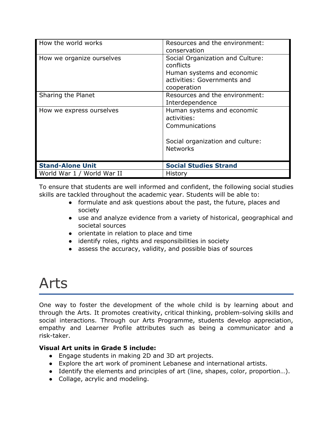| How the world works        | Resources and the environment:<br>conservation                                                                            |
|----------------------------|---------------------------------------------------------------------------------------------------------------------------|
| How we organize ourselves  | Social Organization and Culture:<br>conflicts<br>Human systems and economic<br>activities: Governments and<br>cooperation |
| Sharing the Planet         | Resources and the environment:<br>Interdependence                                                                         |
| How we express ourselves   | Human systems and economic<br>activities:<br>Communications<br>Social organization and culture:<br><b>Networks</b>        |
| <b>Stand-Alone Unit</b>    | <b>Social Studies Strand</b>                                                                                              |
| World War 1 / World War II | History                                                                                                                   |

To ensure that students are well informed and confident, the following social studies skills are tackled throughout the academic year. Students will be able to:

- formulate and ask questions about the past, the future, places and society
- use and analyze evidence from a variety of historical, geographical and societal sources
- orientate in relation to place and time
- identify roles, rights and responsibilities in society
- assess the accuracy, validity, and possible bias of sources

### Arts

One way to foster the development of the whole child is by learning about and through the Arts. It promotes creativity, critical thinking, problem-solving skills and social interactions. Through our Arts Programme, students develop appreciation, empathy and Learner Profile attributes such as being a communicator and a risk-taker.

### **Visual Art units in Grade 5 include:**

- Engage students in making 2D and 3D art projects.
- Explore the art work of prominent Lebanese and international artists.
- Identify the elements and principles of art (line, shapes, color, proportion…).
- Collage, acrylic and modeling.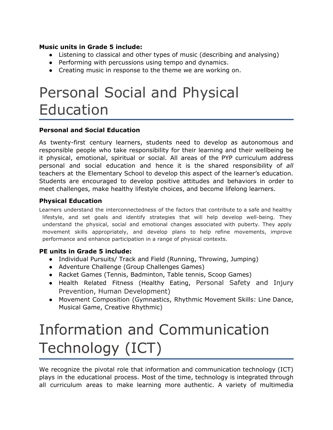#### **Music units in Grade 5 include:**

- Listening to classical and other types of music (describing and analysing)
- Performing with percussions using tempo and dynamics.
- Creating music in response to the theme we are working on.

# Personal Social and Physical Education

### **Personal and Social Education**

As twenty-first century learners, students need to develop as autonomous and responsible people who take responsibility for their learning and their wellbeing be it physical, emotional, spiritual or social. All areas of the PYP curriculum address personal and social education and hence it is the shared responsibility of *all* teachers at the Elementary School to develop this aspect of the learner's education. Students are encouraged to develop positive attitudes and behaviors in order to meet challenges, make healthy lifestyle choices, and become lifelong learners.

### **Physical Education**

Learners understand the interconnectedness of the factors that contribute to a safe and healthy lifestyle, and set goals and identify strategies that will help develop well-being. They understand the physical, social and emotional changes associated with puberty. They apply movement skills appropriately, and develop plans to help refine movements, improve performance and enhance participation in a range of physical contexts.

### **PE units in Grade 5 include:**

- Individual Pursuits/ Track and Field (Running, Throwing, Jumping)
- Adventure Challenge (Group Challenges Games)
- Racket Games (Tennis, Badminton, Table tennis, Scoop Games)
- Health Related Fitness (Healthy Eating, Personal Safety and Injury Prevention, Human Development)
- Movement Composition (Gymnastics, Rhythmic Movement Skills: Line Dance, Musical Game, Creative Rhythmic)

# Information and Communication Technology (ICT)

We recognize the pivotal role that information and communication technology (ICT) plays in the educational process. Most of the time, technology is integrated through all curriculum areas to make learning more authentic. A variety of multimedia